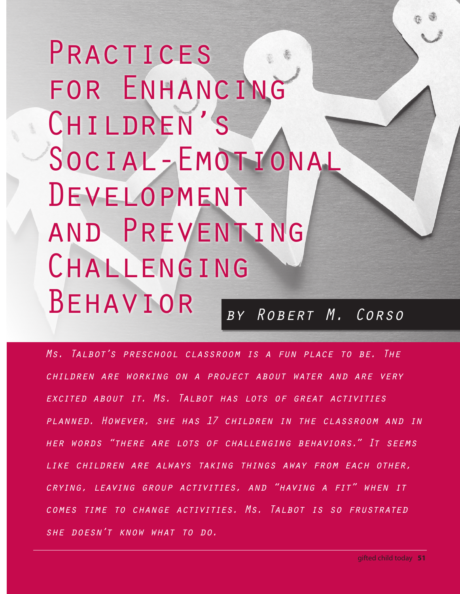# *by Robert M. Corso* Practices FOR ENHANCING Children's Social-Emotional Development and Preventing CHALLENGING Behavior

*Ms. Talbot's preschool classroom is a fun place to be. The children are working on a project about water and are very excited about it. Ms. Talbot has lots of great activities planned. However, she has 17 children in the classroom and in her words "there are lots of challenging behaviors." It seems like children are always taking things away from each other, crying, leaving group activities, and "having a fit" when it comes time to change activities. Ms. Talbot is so frustrated she doesn't know what to do.*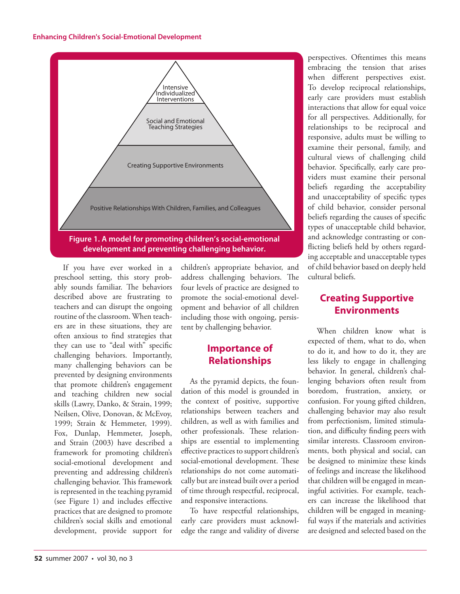#### **Enhancing Children's Social-Emotional Development**



If you have ever worked in a preschool setting, this story probably sounds familiar. The behaviors described above are frustrating to teachers and can disrupt the ongoing routine of the classroom. When teachers are in these situations, they are often anxious to find strategies that they can use to "deal with" specific challenging behaviors. Importantly, many challenging behaviors can be prevented by designing environments that promote children's engagement and teaching children new social skills (Lawry, Danko, & Strain, 1999; Neilsen, Olive, Donovan, & McEvoy, 1999; Strain & Hemmeter, 1999). Fox, Dunlap, Hemmeter, Joseph, and Strain (2003) have described a framework for promoting children's social-emotional development and preventing and addressing children's challenging behavior. This framework is represented in the teaching pyramid (see Figure 1) and includes effective practices that are designed to promote children's social skills and emotional development, provide support for

children's appropriate behavior, and address challenging behaviors. The four levels of practice are designed to promote the social-emotional development and behavior of all children including those with ongoing, persistent by challenging behavior.

# **Importance of Relationships**

As the pyramid depicts, the foundation of this model is grounded in the context of positive, supportive relationships between teachers and children, as well as with families and other professionals. These relationships are essential to implementing effective practices to support children's social-emotional development. These relationships do not come automatically but are instead built over a period of time through respectful, reciprocal, and responsive interactions.

To have respectful relationships, early care providers must acknowledge the range and validity of diverse

perspectives. Oftentimes this means embracing the tension that arises when different perspectives exist. To develop reciprocal relationships, early care providers must establish interactions that allow for equal voice for all perspectives. Additionally, for relationships to be reciprocal and responsive, adults must be willing to examine their personal, family, and cultural views of challenging child behavior. Specifically, early care providers must examine their personal beliefs regarding the acceptability and unacceptability of specific types of child behavior, consider personal beliefs regarding the causes of specific types of unacceptable child behavior, and acknowledge contrasting or conflicting beliefs held by others regarding acceptable and unacceptable types of child behavior based on deeply held cultural beliefs.

# **Creating Supportive Environments**

When children know what is expected of them, what to do, when to do it, and how to do it, they are less likely to engage in challenging behavior. In general, children's challenging behaviors often result from boredom, frustration, anxiety, or confusion. For young gifted children, challenging behavior may also result from perfectionism, limited stimulation, and difficulty finding peers with similar interests. Classroom environments, both physical and social, can be designed to minimize these kinds of feelings and increase the likelihood that children will be engaged in meaningful activities. For example, teachers can increase the likelihood that children will be engaged in meaningful ways if the materials and activities are designed and selected based on the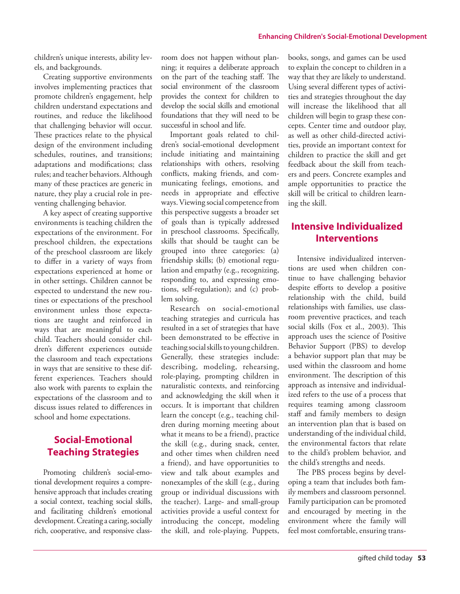children's unique interests, ability levels, and backgrounds.

Creating supportive environments involves implementing practices that promote children's engagement, help children understand expectations and routines, and reduce the likelihood that challenging behavior will occur. These practices relate to the physical design of the environment including schedules, routines, and transitions; adaptations and modifications; class rules; and teacher behaviors. Although many of these practices are generic in nature, they play a crucial role in preventing challenging behavior.

A key aspect of creating supportive environments is teaching children the expectations of the environment. For preschool children, the expectations of the preschool classroom are likely to differ in a variety of ways from expectations experienced at home or in other settings. Children cannot be expected to understand the new routines or expectations of the preschool environment unless those expectations are taught and reinforced in ways that are meaningful to each child. Teachers should consider children's different experiences outside the classroom and teach expectations in ways that are sensitive to these different experiences. Teachers should also work with parents to explain the expectations of the classroom and to discuss issues related to differences in school and home expectations.

# **Social-Emotional Teaching Strategies**

Promoting children's social-emotional development requires a comprehensive approach that includes creating a social context, teaching social skills, and facilitating children's emotional development. Creating a caring, socially rich, cooperative, and responsive classroom does not happen without planning; it requires a deliberate approach on the part of the teaching staff. The social environment of the classroom provides the context for children to develop the social skills and emotional foundations that they will need to be successful in school and life.

Important goals related to children's social-emotional development include initiating and maintaining relationships with others, resolving conflicts, making friends, and communicating feelings, emotions, and needs in appropriate and effective ways. Viewing social competence from this perspective suggests a broader set of goals than is typically addressed in preschool classrooms. Specifically, skills that should be taught can be grouped into three categories: (a) friendship skills; (b) emotional regulation and empathy (e.g., recognizing, responding to, and expressing emotions, self-regulation); and (c) problem solving.

Research on social-emotional teaching strategies and curricula has resulted in a set of strategies that have been demonstrated to be effective in teaching social skills to young children. Generally, these strategies include: describing, modeling, rehearsing, role-playing, prompting children in naturalistic contexts, and reinforcing and acknowledging the skill when it occurs. It is important that children learn the concept (e.g., teaching children during morning meeting about what it means to be a friend), practice the skill (e.g., during snack, center, and other times when children need a friend), and have opportunities to view and talk about examples and nonexamples of the skill (e.g., during group or individual discussions with the teacher). Large- and small-group activities provide a useful context for introducing the concept, modeling the skill, and role-playing. Puppets,

books, songs, and games can be used to explain the concept to children in a way that they are likely to understand. Using several different types of activities and strategies throughout the day will increase the likelihood that all children will begin to grasp these concepts. Center time and outdoor play, as well as other child-directed activities, provide an important context for children to practice the skill and get feedback about the skill from teachers and peers. Concrete examples and ample opportunities to practice the skill will be critical to children learning the skill.

## **Intensive Individualized Interventions**

Intensive individualized interventions are used when children continue to have challenging behavior despite efforts to develop a positive relationship with the child, build relationships with families, use classroom preventive practices, and teach social skills (Fox et al., 2003). This approach uses the science of Positive Behavior Support (PBS) to develop a behavior support plan that may be used within the classroom and home environment. The description of this approach as intensive and individualized refers to the use of a process that requires teaming among classroom staff and family members to design an intervention plan that is based on understanding of the individual child, the environmental factors that relate to the child's problem behavior, and the child's strengths and needs.

feel most comfortable, ensuring trans-The PBS process begins by developing a team that includes both family members and classroom personnel. Family participation can be promoted and encouraged by meeting in the environment where the family will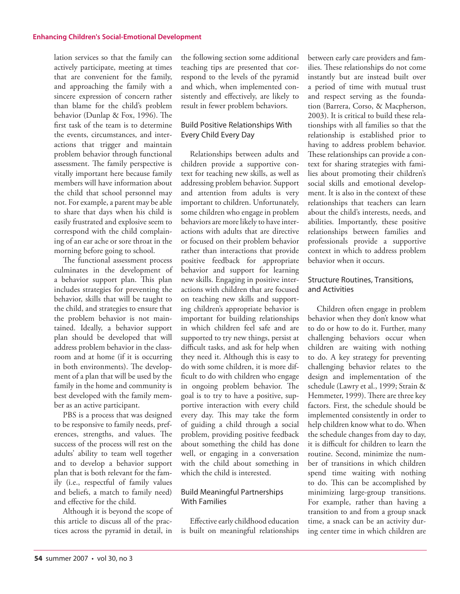#### **Enhancing Children's Social-Emotional Development**

lation services so that the family can actively participate, meeting at times that are convenient for the family, and approaching the family with a sincere expression of concern rather than blame for the child's problem behavior (Dunlap & Fox, 1996). The first task of the team is to determine the events, circumstances, and interactions that trigger and maintain problem behavior through functional assessment. The family perspective is vitally important here because family members will have information about the child that school personnel may not. For example, a parent may be able to share that days when his child is easily frustrated and explosive seem to correspond with the child complaining of an ear ache or sore throat in the morning before going to school.

The functional assessment process culminates in the development of a behavior support plan. This plan includes strategies for preventing the behavior, skills that will be taught to the child, and strategies to ensure that the problem behavior is not maintained. Ideally, a behavior support plan should be developed that will address problem behavior in the classroom and at home (if it is occurring in both environments). The development of a plan that will be used by the family in the home and community is best developed with the family member as an active participant.

PBS is a process that was designed to be responsive to family needs, preferences, strengths, and values. The success of the process will rest on the adults' ability to team well together and to develop a behavior support plan that is both relevant for the family (i.e., respectful of family values and beliefs, a match to family need) and effective for the child.

Although it is beyond the scope of this article to discuss all of the practices across the pyramid in detail, in

the following section some additional teaching tips are presented that correspond to the levels of the pyramid and which, when implemented consistently and effectively, are likely to result in fewer problem behaviors.

#### Build Positive Relationships With Every Child Every Day

Relationships between adults and children provide a supportive context for teaching new skills, as well as addressing problem behavior. Support and attention from adults is very important to children. Unfortunately, some children who engage in problem behaviors are more likely to have interactions with adults that are directive or focused on their problem behavior rather than interactions that provide positive feedback for appropriate behavior and support for learning new skills. Engaging in positive interactions with children that are focused on teaching new skills and supporting children's appropriate behavior is important for building relationships in which children feel safe and are supported to try new things, persist at difficult tasks, and ask for help when they need it. Although this is easy to do with some children, it is more difficult to do with children who engage in ongoing problem behavior. The goal is to try to have a positive, supportive interaction with every child every day. This may take the form of guiding a child through a social problem, providing positive feedback about something the child has done well, or engaging in a conversation with the child about something in which the child is interested.

#### Build Meaningful Partnerships With Families

Effective early childhood education is built on meaningful relationships between early care providers and families. These relationships do not come instantly but are instead built over a period of time with mutual trust and respect serving as the foundation (Barrera, Corso, & Macpherson, 2003). It is critical to build these relationships with all families so that the relationship is established prior to having to address problem behavior. These relationships can provide a context for sharing strategies with families about promoting their children's social skills and emotional development. It is also in the context of these relationships that teachers can learn about the child's interests, needs, and abilities. Importantly, these positive relationships between families and professionals provide a supportive context in which to address problem behavior when it occurs.

#### Structure Routines, Transitions, and Activities

Children often engage in problem behavior when they don't know what to do or how to do it. Further, many challenging behaviors occur when children are waiting with nothing to do. A key strategy for preventing challenging behavior relates to the design and implementation of the schedule (Lawry et al., 1999; Strain & Hemmeter, 1999). There are three key factors. First, the schedule should be implemented consistently in order to help children know what to do. When the schedule changes from day to day, it is difficult for children to learn the routine. Second, minimize the number of transitions in which children spend time waiting with nothing to do. This can be accomplished by minimizing large-group transitions. For example, rather than having a transition to and from a group snack time, a snack can be an activity during center time in which children are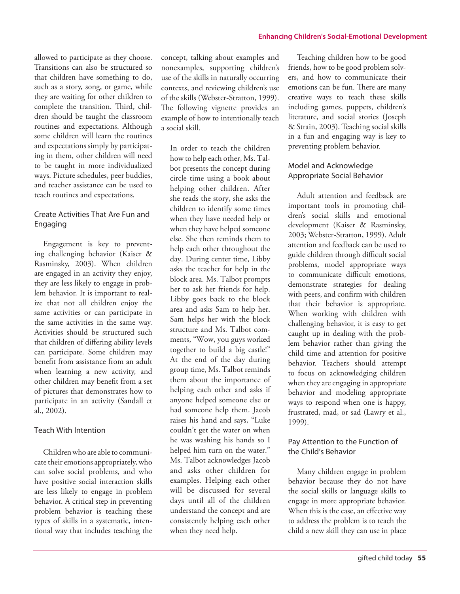allowed to participate as they choose. Transitions can also be structured so that children have something to do, such as a story, song, or game, while they are waiting for other children to complete the transition. Third, children should be taught the classroom routines and expectations. Although some children will learn the routines and expectations simply by participating in them, other children will need to be taught in more individualized ways. Picture schedules, peer buddies, and teacher assistance can be used to teach routines and expectations.

#### Create Activities That Are Fun and Engaging

Engagement is key to preventing challenging behavior (Kaiser & Rasminsky, 2003). When children are engaged in an activity they enjoy, they are less likely to engage in problem behavior. It is important to realize that not all children enjoy the same activities or can participate in the same activities in the same way. Activities should be structured such that children of differing ability levels can participate. Some children may benefit from assistance from an adult when learning a new activity, and other children may benefit from a set of pictures that demonstrates how to participate in an activity (Sandall et al., 2002).

#### Teach With Intention

Children who are able to communicate their emotions appropriately, who can solve social problems, and who have positive social interaction skills are less likely to engage in problem behavior. A critical step in preventing problem behavior is teaching these types of skills in a systematic, intentional way that includes teaching the concept, talking about examples and nonexamples, supporting children's use of the skills in naturally occurring contexts, and reviewing children's use of the skills (Webster-Stratton, 1999). The following vignette provides an example of how to intentionally teach a social skill.

In order to teach the children how to help each other, Ms. Talbot presents the concept during circle time using a book about helping other children. After she reads the story, she asks the children to identify some times when they have needed help or when they have helped someone else. She then reminds them to help each other throughout the day. During center time, Libby asks the teacher for help in the block area. Ms. Talbot prompts her to ask her friends for help. Libby goes back to the block area and asks Sam to help her. Sam helps her with the block structure and Ms. Talbot comments, "Wow, you guys worked together to build a big castle!" At the end of the day during group time, Ms. Talbot reminds them about the importance of helping each other and asks if anyone helped someone else or had someone help them. Jacob raises his hand and says, "Luke couldn't get the water on when he was washing his hands so I helped him turn on the water." Ms. Talbot acknowledges Jacob and asks other children for examples. Helping each other will be discussed for several days until all of the children understand the concept and are consistently helping each other when they need help.

Teaching children how to be good friends, how to be good problem solvers, and how to communicate their emotions can be fun. There are many creative ways to teach these skills including games, puppets, children's literature, and social stories (Joseph & Strain, 2003). Teaching social skills in a fun and engaging way is key to preventing problem behavior.

#### Model and Acknowledge Appropriate Social Behavior

Adult attention and feedback are important tools in promoting children's social skills and emotional development (Kaiser & Rasminsky, 2003; Webster-Stratton, 1999). Adult attention and feedback can be used to guide children through difficult social problems, model appropriate ways to communicate difficult emotions, demonstrate strategies for dealing with peers, and confirm with children that their behavior is appropriate. When working with children with challenging behavior, it is easy to get caught up in dealing with the problem behavior rather than giving the child time and attention for positive behavior. Teachers should attempt to focus on acknowledging children when they are engaging in appropriate behavior and modeling appropriate ways to respond when one is happy, frustrated, mad, or sad (Lawry et al., 1999).

#### Pay Attention to the Function of the Child's Behavior

child a new skill they can use in place Many children engage in problem behavior because they do not have the social skills or language skills to engage in more appropriate behavior. When this is the case, an effective way to address the problem is to teach the